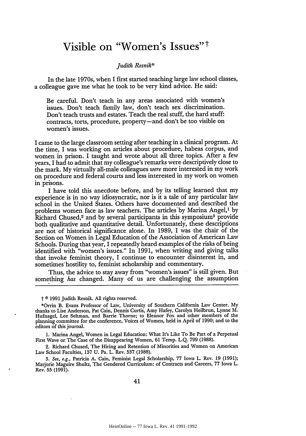## **Visible on "Women's Issues" t**

## *Judith Resnik\**

In the late 1970s, when I first started teaching large law school classes, a colleague gave me what he took to be very kind advice. He said:

Be careful. Don't teach in any areas associated with women's issues. Don't teach family law, don't teach sex discrimination. Don't teach trusts and estates. Teach the real stuff, the hard stuff: contracts, torts, procedure, property-and don't be too visible on women's issues.

I came to the large classroom setting after teaching in a clinical program. At the time, I was working on articles about procedure, habeas corpus, and women in prison. I taught and wrote about all three topics. After a few years, I had to admit that my colleague's remarks were descriptively close to the mark. My virtually all-male colleagues *were* more interested in my work on procedure and federal courts and less interested in my work on women in prisons.

I have told this anecdote before, and by its telling learned that my experience is in no way idiosyncratic, nor is it a tale of any particular law school in the United States. Others have documented and described the problems women face as law teachers. The articles by Marina Angel,<sup>1</sup> by Richard Chused,<sup>2</sup> and by several participants in this symposium<sup>3</sup> provide both qualitative and quantitative detail. Unfortunately, these descriptions are not of historical significance alone. In 1989, I was the chair of the Section on Women in Legal Education of the Association of American Law Schools. During that year, I repeatedly heard examples of the risks of being identified with "women's issues." In 1991, when writing and giving talks that invoke feminist theory, I continue to encounter disinterest in, and sometimes'hostility to, feminist scholarship and commentary.

Thus, the advice to stay away from "women's issues" is still given. But something *has* changed. Many of us are challenging the assumption

t **0 1991** Judith Resnik. All rights reserved.

1. Marina Angel, Women in Legal Education: What It's Like To Be Part of a Perpetual First Wave or The Case of the Disappearing Women, 61 Temp. L.Q. 799 (1988).

2. Richard Chused, The Hiring and Retention of Minorities and Women on American Law School Faculties, 137 U. Pa. L. Rev. 537 (1988).

*3.* See, e.g., Patricia A. Cain, Feminist Legal Scholarship, 77 Iowa L. Rev. 19 (1991); Marjorie Maguire Shultz, The Gendered Curriculum: of Contracts and Careers, 77 Iowa L. Rev. 55 (1991).

<sup>\*</sup>Orrin B. Evans Professor of Law, University of Southern California Law Center. My thanks to Lise Anderson, Pat Cain, Dennis Curtis, Amy Hafey, Carolyn Heilbrun, Lynne M. Hufnagel, Lee SeItman, and Barrie Thorne; to Eleanor Fox and other members of the planning committee for the conference, Voices of Women, held in April of 1990; and to the editors of this journal.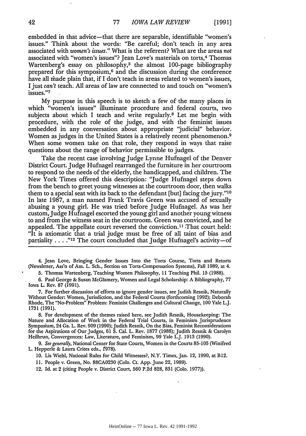embedded in that advice-that there are separable, identifiable "women's issues." Think about the words: "Be careful; don't teach in any area associated with *women's issues."* What is the referent? What are the areas *not* associated with "women's issues"? Jean Love's materials on torts,<sup>4</sup> Thomas Wartenberg's essay on philosophy,<sup>5</sup> the almost 100-page bibliography prepared for this symposium, $6$  and the discussion during the conference have all made plain that, if I don't teach in areas related to women's issues, I just *can't* teach. All areas of law are connected to and touch on "women's issues."7

My purpose in this speech is to sketch a few of the many places in which "women's issues" illuminate procedure and federal courts, two subjects about which I teach and write regularly.8 Let me begin with procedure, with the role of the judge, and with the feminist issues embedded in any conversation about appropriate "judicial" behavior. Women as judges in the United States is a relatively recent phenomenon.<sup>9</sup> When some women take on that role, they respond in ways that raise questions about the range of behavior permissible to judges.

Take the recent case involving Judge Lynne Hufnagel of the Denver District Court. Judge Hufnagel rearranged the furniture in her courtroom to respond to the needs of the elderly, the handicapped, and children. The New York Times offered this description: "Judge Hufnagel steps down from the bench to greet young witnesses at the courtroom door, then walks them to a special seat with its back to the defendant [but] facing the jury."'1 In late 1987, a man named Frank Travis Green was accused of sexually abusing a young girl. He was tried before Judge Hufnagel. As was her custom, Judge Hufnagel escorted the young girl and another young witness to and from the witness seat in the courtroom. Green was convicted, and he appealed. The appellate court reversed the conviction.<sup>11</sup> That court held: "It is axiomatic that a trial judge must be free of all taint of bias and partiality . . . .<sup>"12</sup> The court concluded that Judge Hufnagel's activity-of

4. Jean Love, Bringing Gender Issues Into the Torts Course, Torts and Retorts (Newsletter, Ass'n of Am, L. Sch., Section on Torts-Compensation Systems), Fall 1989, at 4.

5. Thomas Wartenberg, Teaching Women Philosophy, 11 Teaching Phil. 15 (1988).

6. Paul George & Susan McGlamery, Women and Legal Scholarship: A Bibliography, 77 Iowa L. Rev. 87 (1991).

**7.** For further discussion of efforts to ignore gender issues, see Judith Resnik, Naturally Without Gender: Women, Jurisdiction, and the Federal Courts (forthcoming 1992); Deborah Rhode, The "No-Problem" Problem: Feminist Challenges and Cultural Change, 100 Yale L.J. 1731 **(1991).**

8. For development of the themes raised here, see Judith Resnik, Housekeeping: The Nature and Allocation of Work in the Federal Trial Courts, in Feminism Jurisprudence Symposium, 24 Ga. L. Rev. 909 (1990); Judith Resnik, On the Bias, Feminist Reconsiderations for the Aspirations of Our Judges, 61 **S.** Cal. L. Rev. 1877 (1988); Judith Resnik & Carolyn Heilbrun, Convergences: Law, Literature, and Feminism, 99 Yale L.J. 1913 (1990).

*9. See generally,* National Center for State Courts, Women in the Courts 85-105 (Winifred L. Hepperle & Laura Crites eds., f978).

10. Lis Wiehl, National Rules for Child Witnesses?, N.Y. Times, Jan. 12, 1990, at B12.

11. People v. Green, No. 88CA0230 (Colo. Ct. App. June 22, 1989).

12. Id. at 2 (citing People v. District Court, 560 P.2d 828, 831 (Colo. 1977)).

42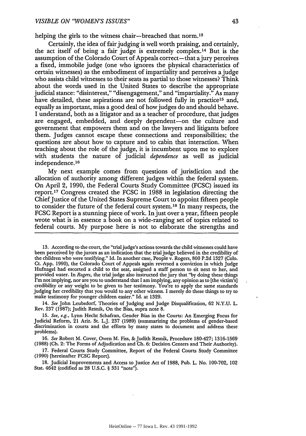helping the girls to the witness chair—breached that norm.<sup>13</sup>

Certainly, the idea of fair judging is well worth praising, and certainly, the act itself of being a fair judge is extremely complex. 14 But is the assumption of the Colorado Court of Appeals correct—that a jury perceives a fixed, immobile judge (one who ignores the physical characteristics of certain witnesses) as the embodiment of impartiality and perceives a judge who assists child witnesses to their seats as partial to those witnesses? Think about the words used in the United States to describe the appropriate judicial stance: "disinterest," "disengagement," and "impartiality." As many have detailed, these aspirations are not followed fully in practice<sup>15</sup> and, equally as important, miss a good deal of how judges do and should behave. I understand, both as a litigator and as a teacher of procedure, that judges are engaged, embedded, and deeply dependent-on the culture and government that empowers them and on the lawyers and litigants before them. Judges cannot escape these connections and responsibilities; the questions are about how to capture and to cabin that interaction. When teaching about the role of the judge, it is incumbent upon me to explore with students the nature of judicial *dependence* as well as judicial independence. <sup>16</sup>

My next example comes from questions of jurisdiction and the allocation of authority among different judges within the federal system. On April 2, 1990, the Federal Courts Study Committee (FCSC) issued its report.<sup>17</sup> Congress created the FCSC in 1988 in legislation directing the Chief Justice of the United States Supreme Court to appoint fifteen people to consider the future of the federal court system.<sup>18</sup> In many respects, the FCSC Report is a stunning piece of work. In just over a year, fifteen people wrote what is in essence a book on a wide-ranging set of topics related to federal courts. My purpose here is not to elaborate the strengths and

13. According to the court, the "trial judge's actions towards the child witnesses could have been perceived by the jurors as an indication that the trial judge believed in the credibility of the children who were testifying." Id. In another case, People v. Rogers, **800** P.2d 1327 (Colo. Ct. App. 1990), the Colorado Court of Appeals again reversed a conviction in which Judge Hufnagel had escorted a child to the seat, assigned a staff person to sit next to her, and provided water. In *Rogers,* the trial judge also instructed the jury that "by doing these things I'm not implying, nor are you to understand that I am implying, any opinion as to [the victim's] credibility or any weight to be given to her testimony. You're to apply the same standards judging her credibility that you would to any other witness. I merely do these things to try to make testimony for younger children easier." Id. at 1329.

14. *See* John Leubsdorf, Theories of Judging and Judge Disqualification, 62 N.Y.U. L. Rev. 237 (1987); Judith Resnik, On the Bias, supra note 8.

**15.** *See, e.g.,* Lynn Hecht Schafran, Gender Bias in the Courts: An Emerging Focus for Judicial Reform, 21 Ariz. St. L.J. **237** (1989) (summarizing the problems of gender-based discrimination in courts and the efforts by many states to document and address these problems).

16. *See* Robert M. Cover, Owen M. Fiss, &Judith Resnik, Procedure 180-427; **1316-1569** (1988) (Ch. 2: The Forms of Adjudication and Ch. 6: Decision Centers and Their Authority).

**17.** Federal Courts Study Committee, Report of the Federal Courts Study Committee (1990) [hereinafter FCSC Report].

**18.** Judicial Improvements and Access to Justice Act of 1988, Pub. L. No. **100-702,** 102 Stat. 4642 (codified as 28 U.S.C. § **331** "note").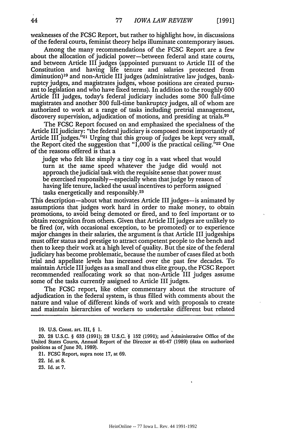weaknesses of the FCSC Report, but rather to highlight how, in discussions of the federal courts, feminist theory helps illuminate contemporary issues.

Among the many recommendations of the FCSC Report are a few about the allocation of judicial power-between federal and state courts, and between Article III judges (appointed pursuant to Article III of the Constitution and having life tenure and salaries protected from diminution) 19 and non-Article III judges (administrative law judges, bankruptcy judges, and magistrates judges, whose positions are created pursuant to legislation and who have fixed terms). In addition to the roughly 600 Article III judges, today's federal judiciary includes some 300 full-time magistrates and another 300 full-time bankruptcy judges, all of whom are authorized to work at a range of tasks including pretrial management, discovery supervision, adjudication of motions, and presiding at trials.<sup>20</sup>

The FCSC Report focused on and emphasized the specialness of the Article III judiciary: "the federal judiciary is composed most importantly of Article III judges."<sup>21</sup> Urging that this group of judges be kept very small, the Report cited the suggestion that  $1,000$  is the practical ceiling." $22$  One of the reasons offered is that a

judge who felt like simply a tiny cog in a vast wheel that would turn at the same speed whatever the judge did would not approach the judicial task with the requisite sense that power must be exercised responsibly-especially when that judge by reason of having life tenure, lacked the usual incentives to perform assigned tasks energetically and responsibly.<sup>23</sup>

This description—about what motivates Article III judges—is animated by assumptions that judges work hard in order to make money, to obtain promotions, to avoid being demoted or fired, and to feel important or to obtain recognition from others. Given that Article III judges are unlikely to be fired (or, with occasional exception, to be promoted) or to experience major changes in their salaries, the argument is that Article III judgeships must offer status and prestige to attract competent people to the bench and then to keep their work at a high level of quality. But the size of the federal judiciary has become problematic, because the number of cases filed at both trial and appellate levels has increased over the past few decades. To maintain Article III judges as a small and thus elite group, the FCSC Report recommended reallocating work so that non-Article III judges assume some of the tasks currently assigned to Article III judges.

The FCSC report, like other commentary about the structure of adjudication in the federal system, is thus filled with comments about the nature and value of different kinds of work and with proposals to create and maintain hierarchies of workers to undertake different but related

**<sup>19.</sup> U.S.** Const. art. **III,** § **1.**

<sup>20. 28</sup> U.S.C. § 633 (1991); 28 U.S.C. '§ 152 (1991); and Administrative Office of the United States Courts, Annual Report of the Director at 46-47 (1989) (data on authorized positions as of June **30,** 1989).

<sup>21.</sup> **FCSC** Report, supra note 17, at 69.

<sup>22.</sup> Id. at **8.**

<sup>23.</sup> Id. at 7.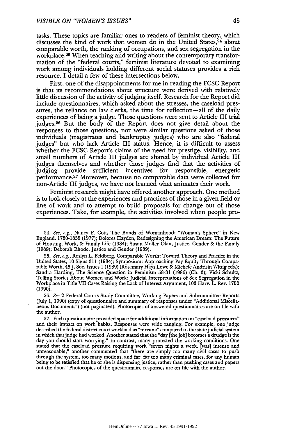tasks. These topics are familiar ones to readers of feminist theory, which discusses the kind of work that women do in the United States,<sup>24</sup> about comparable worth, the ranking of occupations, and sex segregation in the workplace.<sup>25</sup> When teaching and writing about the contemporary transformation of the "federal courts," feminist literature devoted to examining work among individuals holding different social statuses provides a rich resource. I detail a few of these intersections below.

First, one of the disappointments for me in reading the **FCSC** Report is that its recommendations about structure were derived with relatively little discussion of the activity of judging itself. Research for the Report did include questionnaires, which asked about the stresses, the caseload pressures, the reliance on law clerks, the time for reflection-all of the daily experiences of being a judge. Those questions were sent to Article III trial judges. 26 But the body of the Report does not give detail about the responses to those questions, nor were similar questions asked of those individuals (magistrates and bankruptcy judges) who are also "federal judges" but who lack Article III status. Hence, it is difficult to assess whether the **FCSC** Report's claims of the need for prestige, visibility, and small numbers of Article III judges are shared by individual Article III judges themselves and whether those judges find that the activities of judging provide sufficient incentives for responsible, energetic performance. 27 Moreover, because no comparable data were collected for non-Article III judges, we have not learned what animates their work.

Feminist research might have offered another approach. One method is to look closely at the experiences and practices of those in a given field or line of work and to attempt to build proposals for change out of those experiences. Take, for example, the activities involved when people pro-

24. See, e.g., Nancy F. Cott, The Bonds of Womanhood: "Woman's Sphere" in New England, 1780-1835 (1977); Dolores Hayden, Redesigning the American Dream: The Future of Housing, Work, & Family Life (1984); Susan Moller Okin, Justice, Gender **&** the Family (1989); Deborah Rhode, Justice and Gender (1989).

25. See, e.g., Roslyn L. Feldberg, Comparable Worth: Toward Theory and Practice in the United States, 10 Signs 311 (1984); Symposium: Approaching Pay Equity Through Comparable Worth, 45J. Soc. Issues 1 (1989) (Rosemary Hays Lowe & Michele Andrisin Wittig eds.); Sandra Harding, The Science Question in Feminism 58-81 (1986) (Ch. 3); Vicki Schultz, Telling Stories About Women and Work: Judicial Interpretations of Sex Segregation in the Workplace in Title VII Cases Raising the Lack of Interest Argument, 103 Harv. L. Rev. 1750 (1990).

26. See 2 Federal Courts Study Committee, Working Papers and Subcommittee Reports (July 1, 1990) (copy of questionnaire and summary of responses under "Additional Miscellaneous Documents") (not paginated). Photocopies of answered questionnaires are on file with the author.

27. Each questionnaire provided space for additional information on "caseload pressures" and their impact on work habits. Responses were wide ranging. For example, one judge described the federal district court workload as "nirvana" compared to the state judicial system in which that judge had worked. Another stated that the "day [the job] becomes a drudge is the day you should start worrying." In contrast, many protested the working conditions. One stated that the caseload pressure requiring work "seven nights a week, [was] intense and unreasonable;" another commented that "there are simply too many civil cases to push through the system, too many motions, and far, far too many criminal cases, for any human being to be satisfied that he or she is dispensing justice, rather than pushing cases and papers out the door." Photocopies of the questionnaire responses are on file with the author.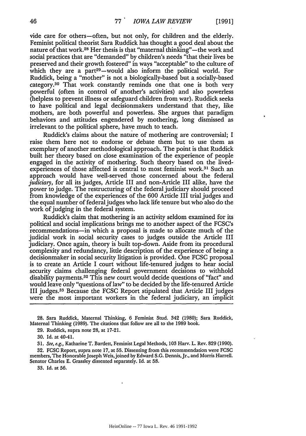vide care for others-often, but not only, for children and the elderly. Feminist political theorist Sara Ruddick has thought a good deal about the nature of that work.<sup>28</sup> Her thesis is that "maternal thinking"—the work and social practices that are "demanded" by children's needs "that their lives be preserved and their growth fostered" in ways "acceptable" to the culture of which they are a part<sup>29</sup>-would also inform the political world. For Ruddick, being a "mother" is not a biologically-based but a socially-based category.<sup>30</sup> That work constantly reminds one that one is both very powerful (often in control of another's activities) and also powerless (helpless to prevent illness or safeguard children from war). Ruddick seeks to have political and legal decisionmakers understand that they, like mothers, are both powerful and powerless. She argues that paradigm behaviors and attitudes engendered by mothering, long dismissed as irrelevant to the political sphere, have much to teach.

Ruddick's claims about the nature of mothering are controversial; I raise them here not to endorse or debate them but to use them as exemplary of another methodological approach. The point is that Ruddick built her theory based on close examination of the experience of people engaged in the activity of mothering. Such theory based on the livedexperiences of those affected is central to most feminist work.<sup>31</sup> Such an approach would have well-served those concerned about the federal *judiciary,* for all its judges, Article III and non-Article III alike, have the power to judge. The restructuring of the federal judiciary should proceed from knowledge of the experiences of the 600 Article III trial judges and the equal number of federal judges who lack life tenure but who also do the work of judging in the federal system.

Ruddick's claim that mothering is an activity seldom examined for its political and social implications brings me to another aspect of the FCSC's recommendations-in which a proposal is made to allocate much of the judicial work in social security cases to judges outside the Article III judiciary. Once again, theory is built top-down. Aside from its procedural complexity and redundancy, little description of the experience of being a decisionmaker in social security litigation is provided. One FCSC proposal is to create an Article I court without life-tenured judges to hear social security claims challenging federal government decisions to withhold disability payments.<sup>32</sup> This new court would decide questions of "fact" and would leave only "questions of law" to be decided by the life-tenured Article III judges. 33 Because the **FCSC** Report stipulated that Article III judges were the most important workers in the federal judiciary, an implicit

31. See, e.g., Katharine T. Bartlett, Feminist Legal Methods, **103** Harv. L. Rev. 829 (1990).

32. **FCSO** Report, supra note 17, at **55.** Dissenting from this recommendation were FCSC members, The Honorable Joseph Weis, joined by Edward S.G. Dennis, Jr., and Morris Harrell. Senator Charles E. Grassley dissented separately. Id. at 58.

33. Id. at 56.

<sup>28.</sup> Sara Ruddick, Maternal Thinking, 6 Feminist Stud. 342 (1980); Sara Ruddick, Maternal Thinking (1989). The citations that follow are all to the 1989 book.

<sup>29.</sup> Ruddick, supra note 28, at 17-21.

<sup>30.</sup> Id. at 40-41.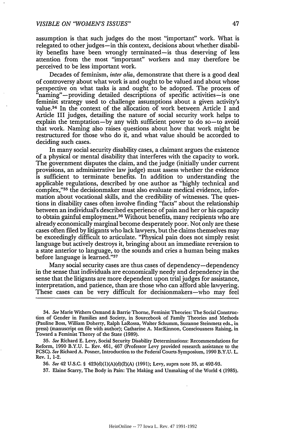assumption is that such judges do the most "important" work. What is relegated to other judges-in this context, decisions about whether disability benefits have been wrongly terminated-is thus deserving of less attention from the most "important" workers and may therefore be perceived to be less important work.

Decades of feminism, *inter alia,* demonstrate that there is a good deal of controversy about what work is and ought to be valued and about whose perspective on what tasks is and ought to be adopted. The process of "naming"-providing detailed descriptions of specific activities-is one feminist strategy used to challenge assumptions about a given activity's value.<sup>34</sup> In the context of the allocation of work between Article I and Article III judges, detailing the nature of social security work helps to explain the temptation-by any with sufficient power to do so-to avoid that work. Naming also raises questions about how that work might be restructured for those who do it, and what value should be accorded to deciding such cases.

In many social security disability cases, a claimant argues the existence of a physical or mental disability that interferes with the capacity to work. The government disputes the claim, and the judge (initially under current provisions, an administrative law judge) must assess whether the evidence is sufficient to terminate benefits. In addition to understanding the applicable regulations, described by one author as "highly technical and complex,"35 the decisionmaker must also evaluate medical evidence, information about vocational skills, and the credibility of witnesses. The questions in disability cases often involve finding "facts" about the relationship between an individual's described experience of pain and her or his capacity to obtain gainful employment.36 Without benefits, many recipients who are already economically marginal become desperately poor. Not only are these cases often filed by litigants who lack lawyers, but the claims themselves may be exceedingly difficult to articulate. "Physical pain does not simply resist language but actively destroys it, bringing about an immediate reversion to a state anterior to language, to the sounds and cries a human being makes before language is learned."37

Many social security cases are thus cases of dependency-dependency in the sense that individuals are economically needy and dependency in the sense that the litigants are more dependent upon trial judges for assistance, interpretation, and patience, than are those who can afford able lawyering. These cases can be very difficult for decisionmakers-who may feel

35. See Richard E. Levy, Social Security Disability Determinations: Recommendations for Reform, 1990 B.Y.U. L. Rev. 461, 467 (Professor Levy provided research assistance to the FCSC). See Richard A. Posner, Introduction to the Federal Courts Symposium, 1990 B.Y.U. L. Rev. 1, 1-2.

36. See 42 U.S.C. § 423(d)(1)(A)(d)(2)(A) (1991); Levy, supra note 35, at 492-93.

37. Elaine Scarry, The Body in Pain: The Making and Unmaking of the World 4 (1985).

<sup>34.</sup> See Marie Withers Osmand & Barrie Thorne, Feminist Theories: The Social Construc**tion** of Gender in Families and Society, in Sourcebook of Family Theories and Methods (Pauline Boss, William Doherty, Ralph LaRossa, Walter Schumm, Suzanne Steinmetz eds., in press) (manuscript on file with author); Catharine **A.** MacKinnon, Consciousness Raising, in Toward a Feminist Theory of the State (1989).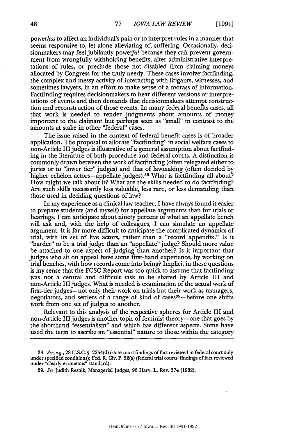*powerless* to affect an individual's pain or to interpret rules in a manner that seems responsive to, let alone alleviating of, suffering. Occasionally, decisionmakers may feel jubilantly powerful because they can prevent government from wrongfully withholding benefits, alter administrative interpretations of rules, or preclude those not disabled from claiming moneys allocated by Congress for the truly needy. These cases involve factfinding, the complex and messy activity of interacting with litigants, witnesses, and sometimes lawyers, in an effort to make sense of a morass of information. Factfinding requires decisionmakers to hear different versions or interpretations of events and then demands that decisionmakers attempt construction and reconstruction of those events. In many federal benefits cases, all that work is needed to render judgments about amounts of money important to the claimant but perhaps seen as "small" in contrast to the amounts at stake in other "federal" cases.

The issue raised in the context of federal benefit cases is of broader application. The proposal to allocate "factfinding" in social welfare cases to non-Article III judges is illustrative of a general assumption about factfinding in the literature of both procedure and federal courts. A distinction is commonly drawn between the work of factfinding (often relegated either to juries or to "lower tier" judges) and that of lawmaking (often decided by higher echelon actors-appellate judges).<sup>38</sup> What is factfinding all about? How might we talk about it? What are the skills needed to do factfinding? Are such skills necessarily less valuable, less rare, or less demanding than those used in deciding questions of law?

In my experience as a clinical law teacher, I have always found it easier to prepare students (and myself) for appellate arguments than for trials or hearings. I can anticipate about ninety percent of what an appellate bench will ask and, with the help of colleagues, I can simulate an appellate argument. It is far more difficult to anticipate the complicated dynamics of trial, with its set of live actors, rather than a "record appendix." Is it "harder" to be a trial judge than an "appellate" judge? Should more value be attached to one aspect of judging than another? Is it important that judges who sit on appeal have some first-hand experience, by working on trial benches, with how records come into being? Implicit in these questions is my sense that the **FCSC** Report was too quick to assume that factfinding was not a central and difficult task to be shared by Article III and non-Article III judges. What is needed is examination of the actual work of first-tier judges-not only their work on trials but their work as managers, negotiators, and settlers of a range of kind of cases<sup>39</sup>—before one shifts work from one set of judges to another.

Relevant to this analysis of the respective spheres for Article HI and non-Article III judges is another topic of feminist theory-one that goes by the shorthand "essentialism" and which has different aspects. Some have used the term to ascribe an "essential" nature to those within the category

**<sup>38.</sup>** See, e.g., 28 U.S.C. § 2254(d) (state court findings of fact reviewed in federal court only under specified conditions); Fed. R. Civ. P. 52(a) (federal trial courts' findings of fact reviewed under "clearly erroneous" standard).

**<sup>39.</sup>** See Judith Resnik, Managerial Judges, 96 Harv. L. Rev. 374 (1982).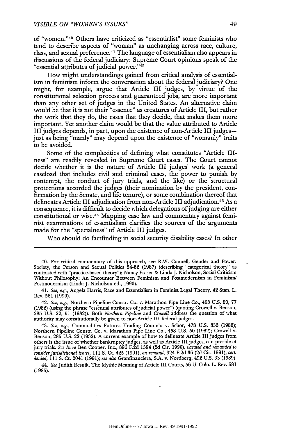of "women. '40 Others have criticized as "essentialist" some feminists who tend to describe aspects of "woman" as unchanging across race, culture, class, and sexual preference.<sup>41</sup> The language of essentialism also appears in discussions of the federal judiciary: Supreme Court opinions speak of the "essential attributes of judicial power."42

How might understandings gained from critical analysis of essentialism in feminism inform the conversation about the federal judiciary? One might, for example, argue that Article III judges, by virtue of the constitutional selection process and guaranteed jobs, are more important than any other set of judges in the United States. An alternative claim would be that it is not their "essence" as creatures of Article III, but rather the work that they do, the cases that they decide, that makes them more important. Yet another claim would be that the value attributed to Article III judges depends, in part, upon the existence of non-Article III judgesjust as being "manly" may depend upon the existence of "womanly" traits to be avoided.

Some of the complexities of defining what constitutes "Article IIIness" are readily revealed in Supreme Court cases. The Court cannot decide whether it is the nature of Article III judges' work (a general caseload that includes civil and criminal cases, the power to punish by contempt, the conduct of jury trials, and the like) or the structural protections accorded the judges (their nomination by the president, confirmation by the Senate, and life tenure), or some combination thereof that delineates Article III adjudication from non-Article III adjudication. 43 As a consequence, it is difficult to decide which delegations of judging are either constitutional or wise.44 Mapping case law and commentary against feminist examinations of essentialism clarifies the sources of the arguments made for the "specialness" of Article III judges.

Who should do factfinding in social security disability cases? In other

44. *See* Judith Resnik, The Mythic Meaning of Article III Courts, 56 U. Colo. L. Rev. 581 (1985).

<sup>40.</sup> For critical commentary of this approach, see R.W. Connell, Gender and Power: Society, the Person and Sexual Politics 54-62 (1987) (describing "categorical theory" as contrasted with "practice-based theory"); Nancy Fraser & Linda J. Nicholson, Social Criticism Without Philosophy: An Encounter Between Feminism and Postmodernism in Feminism/ Postmodernism (Linda J. Nicholson ed., 1990).

<sup>41.</sup> *See, e.g.,* Angela Harris, Race and Essentialism in Feminist Legal Theory, 42 Stan. L. Rev. 581 (1990).

<sup>42.</sup> *See, e.g.,* Northern Pipeline Constr. Co. v. Marathon Pipe Line Co., 458 U.S. **50,** 77 (1982) (using the phrase "essential attributes of judicial power") (quoting Crowell v. Benson, **285 U.S.** 22, **51** (1932)). Both *Northern Pipeline* and *Crowell* address the question of what authority may constitutionally be given to non-Article III federal judges.

<sup>43.</sup> *See, e.g.,* Commodities Futures Trading Comm'n v. Schor, 478 U.S. **833** (1986); Northern Pipeline Constr. Co. v. Marathon Pipe Line Co., 458 U.S. **50** (1982); Crowell v. Benson, **285** U.S. 22 (1932). A current example of how to delineate Article III judges from others is the issue of whether bankruptcy judges, as well as Article III judges, can preside at jury trials. *See In re* Ben Cooper, Inc., **896** F.2d 1394 **(2d** Cir. 1990), *vacated and remanded to consider jurisdictional issues,* 111 **S.** Ct. 425 (1991), *on remand,* 924 **F.2d** 36 **(2d** Cir. 1991), *cert. denied,* 111 **S.** Ct. 2041 (1991); *see also* Granfinanciera, S.A. v. Nordberg, 492 U.S. **33** (1989).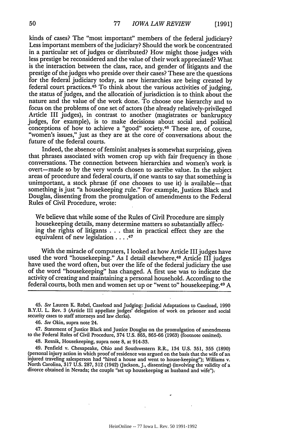kinds of cases? The "most important" members of the federal judiciary? Less important members of the judiciary? Should the work be concentrated in a particular set of judges or distributed? How might those judges with less prestige be reconsidered and the value of their work appreciated? What is the interaction between the class, race, and gender of litigants and the prestige of the judges who preside over their cases? These are the questions for the federal judiciary today, as new hierarchies are being created by federal court practices.<sup>45</sup> To think about the various activities of judging, the status of judges, and the allocatioh of jurisdiction is to think about the nature and the value of the work done. To choose one hierarchy and to focus on the problems of one set of actors (the already relatively-privileged Article III judges), in contrast to another (magistrates or bankruptcy judges, for example), is to make decisions about social and political conceptions of how to achieve a "good" society.<sup>46</sup> These are, of course, "women's issues," just as they are at the core of conversations about the future of the federal courts.

Indeed, the absence of feminist analyses is somewhat surprising, given that phrases associated with women crop up with fair frequency in those conversations. The connection between hierarchies and women's work is overt-made so by the very words chosen to ascribe value. In the subject areas of procedure and federal courts, if one wants to say that something is unimportant, a stock phrase (if one chooses to use it) is available—that something is just "a housekeeping rule." For example, Justices Black and Douglas, dissenting from the promulgation of amendments to the Federal Rules of Civil Procedure, wrote:

We believe that while some of the Rules of Civil Procedure are simply housekeeping details, many determine matters so substantially affecting the rights of litigants . . . that in practical effect they are the equivalent of new legislation . . **.47**

With the miracle of computers, I looked at how Article III judges have used the word "housekeeping." As I detail elsewhere,<sup>48</sup> Article III judges have used the word often, but over the life of the federal judiciary the use of the word "housekeeping" has changed. A first use was to indicate the activity of creating and maintaining a personal household. According to the federal courts, both men and women set up or "went to" housekeeping.<sup>49</sup> A

47. Statement of Justice Black and Justice Douglas on the promulgation of amendments to the Federal Rules of Civil Procedure, 374 U.S. 865, **865-66** (1963) (footnote omitted).

48. Resnik, Housekeeping, supra note 8, at 914-33.

49. Penfield v. Chesapeake, Ohio and Southwestern R.R., 134 U.S. 351, **355** (1890) (personal injury action in which proof of residence was argued on the basis that the wife of an injured traveling salesperson had "hired a house and went to house-keeping"); Williams v. North Carolina, **317** U.S. 287, **312** (1942) (Jackson, J., dissenting) (involving the validity of a divorce obtained in Nevada; the couple "set up housekeeping as husband and wife").

<sup>45.</sup> See Lauren K. Robel, Caseload and Judging: Judicial Adaptations to Caseload, 1990 B.Y.U. L. Rev. 3 (Article III appellate judges' delegation of work on prisoner and social security cases to staff attorneys and law clerks).

<sup>46.</sup> See Okin, supra note 24.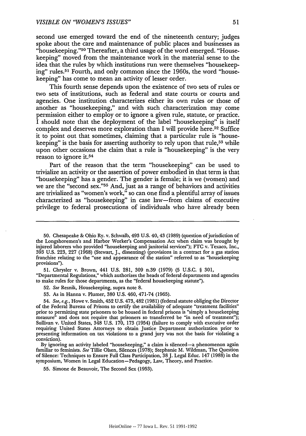second use emerged toward the end of the nineteenth century; judges spoke about the care and maintenance of public places and businesses as "housekeeping."<sup>50</sup> Thereafter, a third usage of the word emerged. "Housekeeping" moved from the maintenance work in the material sense to the idea that the rules by which institutions run were themselves "housekeeping" rules.<sup>51</sup> Fourth, and only common since the 1960s, the word "housekeeping" has come to mean an activity of lesser order.

This fourth sense depends upon the existence of two sets of rules or two sets of institutions, such as federal and state courts or courts and agencies. One institution characterizes either its own rules or those of another as "housekeeping," and with such characterization may come permission either to employ or to ignore a given rule, statute, or practice. I should note that the deployment of the label "housekeeping" is itself complex and deserves more exploration than I will provide here.<sup>52</sup> Suffice it to point out that sometimes, claiming that a particular rule is "housekeeping" is the basis for asserting authority to rely upon that rule,<sup>53</sup> while upon other occasions the claim that a rule is "housekeeping" is the very reason to ignore it.54

Part of the reason that the term "housekeeping" can be used to trivialize an activity or the assertion of power embodied in that term is that "housekeeping" has a gender. The gender is female; it is we (women) and we are the "second sex."<sup>55</sup> And, just as a range of behaviors and activities are trivialized as "women's work," so can one find a plentiful array of issues characterized as "housekeeping" in case law-from claims of executive privilege to federal prosecutions of individuals who have already been

51. Chrysler v. Brown, 441 U.S. 281, **309** n.39 (1979) (5 U.S.C. § 301, "Departmental Regulations," which authorizes the heads of federal departments and agencies to make rules for those departments, as the "federal housekeeping statute").

52. See Resnik, Housekeeping, supra note 8.

53. As in Hanna v. Plumer, **380** U.S. 460, 471-74 (1965).

54. See, e.g., Howe v. Smith, 452 U.S. 473,482 (1981) (federal statute obliging the Director of the Federal Bureau of Prisons to certify the availability of adequate "treatment facilities" prior to permitting state prisoners to be housed in federal prisons is "simply a housekeeping measure" and does not require that prisoners so transferred be "in need of treatment"); Sullivan v. United States, 348 U.S. 170, 173 (1954) (failure to comply with executive order requiring United States Attorneys to obtain Justice Department authorization prior to presenting information on tax violations to a grand jury was not the basis for violating a conviction).

By ignoring an activity labeled "housekeeping," a claim is silenced-a phenomenon again familiar to feminists. See Tillie Olsen, Silences (1978); Stephanie M. Wildman, The Question of Silence: Techniques to Ensure Full Class Participation, 38J. Legal Educ. 147 (1988) in the symposium, Women in Legal Education-Pedagogy, Law, Theory, and Practice.

55. Simone de Beauvoir, The Second Sex (1953).

**<sup>50.</sup>** Chesapeake & Ohio Ry. v. Schwalb, 493 U.S. 40,43 (1989) (question ofjurisdiction of the Longshoremen's and Harbor Worker's Compensation Act when claim was brought by injured laborers who provided "housekeeping and janitorial services"); FTC v. Texaco, Inc., 393 U.S. 223, 227 (1968) (Stewart, J., dissenting) (provisions in a contract for a gas station franchise relating to the "use and appearance of the station" referred to as "housekeeping provisions").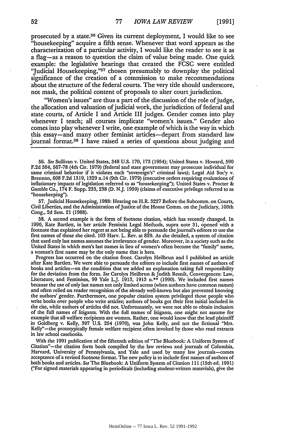prosecuted by a state. 56 Given its current deployment, I would like to see "housekeeping" acquire a fifth sense. Whenever that word appears as the characterization of a particular activity, I would like the reader to see it as a flag-as a reason to question the claim of value being made. One quick example: the legislative hearings that created the **FCSC** were entitled 'Judicial Housekeeping, '57 chosen presumably to downplay the political significance of the creation of a commission to make recommendations about the structure of the federal courts. The very title should underscore, not mask, the political content of proposals to alter court jurisdiction.

"Women's issues" are thus a part of the discussion of the role of judge, the allocation and valuation of judicial work, the jurisdiction of federal and state courts, of Article I and Article III judges. Gender comes into play whenever I teach; all courses implicate "women's issues." Gender also comes into play whenever I write, one example of which is the way in which this essay-and many other feminist articles-depart from standard law journal format.58 I have raised a series of questions about judging and

**57,** Judicial Housekeeping, 1988: Hearing on H.R. 3227 Before the Subcomm. on Courts, Civil Liberties, and the Administration of Justice of the House Comm. on the Judiciary, 100th Cong., 2d Sess. 21 (1988).

58. A second example is the form of footnote citation, which has recently changed. In 1990, Kate Bartlett, in her article Feminist Legal Methods, supra note 31, opened with a footnote that explained her regret at not being able to persuade the journal's editors to use the first names of those she cited. **103** Harv. L. Rev. at 829. As she detailed, a system of citation that used only last names assumes the irrelevance of gender. Moreover, in a society such as the United States in which men's last names in lieu of women's often become the "family" name, a woman's first name may be the only name that is hers.

Progress has occurred on the citation front. Carolyn Heilbrun and I published an article after Kate Bartlett. We were able to persuade the editors to include first names of authors of books and articles-on the condition that we added an explanation taking full responsibility for the deviation from the form. See Carolyn Heilbrun & Judith Resnik, Convergences: Law, Literature, and Feminism, 99 Yale L.J. 1913, 1913 n.\*\* (1990). We included first names because the use of only last names not only limited access (when authors have common names) and often relied on reader recognition of the already well-known but also prevented knowing the authors' gender. Furthermore, one popular citation system privileged those people who write books over people who write articles; authors of books got their first initial included in the cite, while authors of articles did not. Unfortunately, we were not able to obtain inclusion of the full names of litigants. With the full names of litigants, one might not assume for example that all welfare recipients are women. Rather, one would know that the lead plaintiff in Goldberg v. Kelly, **397** U.S. 254 (1970), was John Kelly, and not the fictional "Mrs. Kelly"-the prototypically female welfare recipient often invoked by those who read extracts in law school casebooks.

With the 1991 publication of the fifteenth edition of "The Bluebook: A Uniform System of Citation"-the citation form book compiled by the law reviews and journals of Columbia, Harvard, University of Pennsylvania, and Yale and used by many law journals-comes acceptance of a revised footnote format. The new policy is to include first names of authors of both books and articles. See The Bluebook: A Uniform System of Citation 111 (15th ed. 1991) ("For signed materials appearing in periodicals (including student-written materials), give the

<sup>56.</sup> See Sullivan v. United States, 348 **U.S.** 170, 173 (1954); United States v. Howard, 590 F.2d 564, 567-78 (4th Cir. 1979) (federal and state government may prosecute individual for same criminal behavior if it violates each "sovereign's" criminal laws); Legal Aid Soc'y v. Brennan, 608 F.2d 1319, 1329 n.14 (9th inflationary impacts of legislation referred to as "housekeeping"); United States v. Procter & Gamble Co., 174 F. Supp. **233, 238** (D. N.J. 1959) (claims of executive privilege referred to as "housekeeping").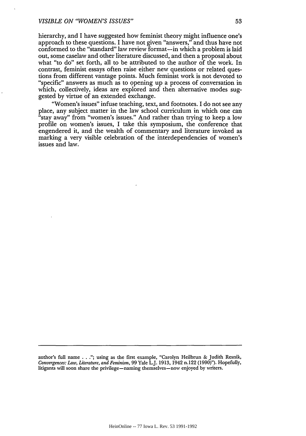hierarchy, and I have suggested how feminist theory might influence one's approach to these questions. I have not given "answers," and thus have not conformed to the "standard" law review format-in which a problem is laid out, some caselaw and other literature discussed, and then a proposal about what "to do" set forth, all to be attributed to the author of the work. In contrast, feminist essays often raise either new questions or related questions from different vantage points. Much feminist work is not devoted to "specific" answers as much as to opening up a process of conversation in which, collectively, ideas are explored and then alternative modes suggested by virtue of an extended exchange.

"Women's issues" infuse teaching, text, and footnotes. I do not see any place, any subject matter in the law school curriculum in which one can "stay away" from "women's issues." And rather than trying to keep a low profile on women's issues, I take this symposium, the conference that engendered it, and the wealth of commentary and literature invoked as marking a very visible celebration of the interdependencies of women's issues and law.

author's full name **..**."; using as the first example, "Carolyn Heilbrun & Judith Resnik, *Convergences: Law, Literature, and Feminism,* **99** Yale L.J. 1913, 1942 n.122 (1990)"). Hopefully, litigants will soon share the privilege-naming themselves-now enjoyed by writers.